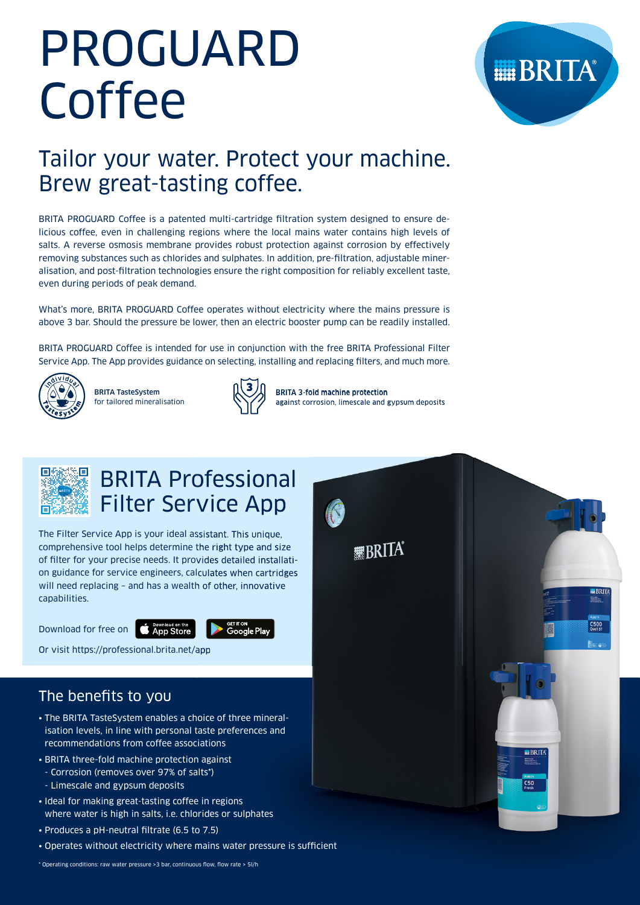# PROGUARD Coffee



# Tailor your water. Protect your machine. Brew great-tasting coffee.

BRITA PROGUARD Coffee is a patented multi-cartridge filtration system designed to ensure delicious coffee, even in challenging regions where the local mains water contains high levels of salts. A reverse osmosis membrane provides robust protection against corrosion by effectively removing substances such as chlorides and sulphates. In addition, pre-filtration, adjustable mineralisation, and post-filtration technologies ensure the right composition for reliably excellent taste, even during periods of peak demand.

What's more, BRITA PROGUARD Coffee operates without electricity where the mains pressure is above 3 bar. Should the pressure be lower, then an electric booster pump can be readily installed.

BRITA PROGUARD Coffee is intended for use in conjunction with the free BRITA Professional Filter Service App. The App provides guidance on selecting, installing and replacing filters, and much more.



BRITA TasteSystem for tailored mineralisation



BRITA 3-fold machine protection against corrosion, limescale and gypsum deposits



# BRITA Professional Filter Service App

The Filter Service App is your ideal assistant. This unique, comprehensive tool helps determine the right type and size of filter for your precise needs. It provides detailed installation guidance for service engineers, calculates when cartridges will need replacing – and has a wealth of other, innovative capabilities.

Download for free on



Or visit https://professional.brita.net/app

# The benefits to you

- The BRITA TasteSystem enables a choice of three mineralisation levels, in line with personal taste preferences and recommendations from coffee associations
- BRITA three-fold machine protection against
- Corrosion (removes over 97% of salts\*)
- Limescale and gypsum deposits
- Ideal for making great-tasting coffee in regions where water is high in salts, i.e. chlorides or sulphates
- Produces a pH-neutral filtrate (6.5 to 7.5)
- Operates without electricity where mains water pressure is sufficient

\* Operating conditions: raw water pressure >3 bar, continuous flow, flow rate > 5l/h